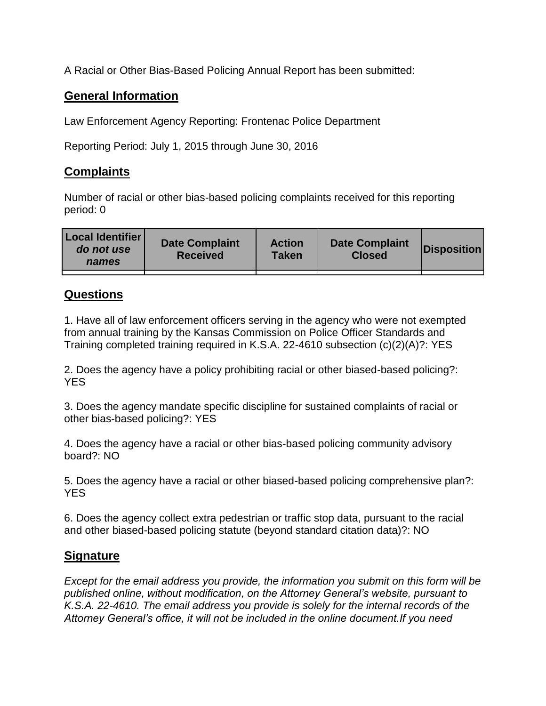A Racial or Other Bias-Based Policing Annual Report has been submitted:

## **General Information**

Law Enforcement Agency Reporting: Frontenac Police Department

Reporting Period: July 1, 2015 through June 30, 2016

## **Complaints**

Number of racial or other bias-based policing complaints received for this reporting period: 0

| <b>Local Identifier</b><br>do not use<br>names | <b>Date Complaint</b><br><b>Received</b> | <b>Action</b><br><b>Taken</b> | <b>Date Complaint</b><br><b>Closed</b> | Disposition |
|------------------------------------------------|------------------------------------------|-------------------------------|----------------------------------------|-------------|
|                                                |                                          |                               |                                        |             |

## **Questions**

1. Have all of law enforcement officers serving in the agency who were not exempted from annual training by the Kansas Commission on Police Officer Standards and Training completed training required in K.S.A. 22-4610 subsection (c)(2)(A)?: YES

2. Does the agency have a policy prohibiting racial or other biased-based policing?: YES

3. Does the agency mandate specific discipline for sustained complaints of racial or other bias-based policing?: YES

4. Does the agency have a racial or other bias-based policing community advisory board?: NO

5. Does the agency have a racial or other biased-based policing comprehensive plan?: YES

6. Does the agency collect extra pedestrian or traffic stop data, pursuant to the racial and other biased-based policing statute (beyond standard citation data)?: NO

## **Signature**

*Except for the email address you provide, the information you submit on this form will be published online, without modification, on the Attorney General's website, pursuant to K.S.A. 22-4610. The email address you provide is solely for the internal records of the Attorney General's office, it will not be included in the online document.If you need*